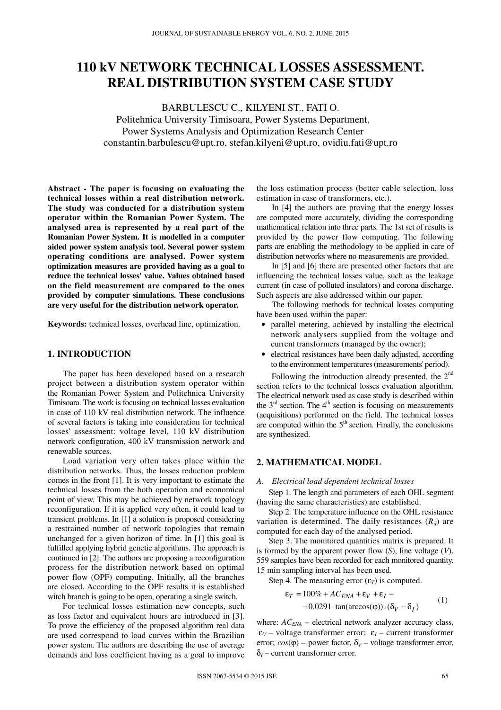# **110 kV NETWORK TECHNICAL LOSSES ASSESSMENT. REAL DISTRIBUTION SYSTEM CASE STUDY**

BARBULESCU C., KILYENI ST., FATI O. Politehnica University Timisoara, Power Systems Department, Power Systems Analysis and Optimization Research Center constantin.barbulescu@upt.ro, stefan.kilyeni@upt.ro, ovidiu.fati@upt.ro

**Abstract - The paper is focusing on evaluating the technical losses within a real distribution network. The study was conducted for a distribution system operator within the Romanian Power System. The analysed area is represented by a real part of the Romanian Power System. It is modelled in a computer aided power system analysis tool. Several power system operating conditions are analysed. Power system optimization measures are provided having as a goal to reduce the technical losses' value. Values obtained based on the field measurement are compared to the ones provided by computer simulations. These conclusions are very useful for the distribution network operator.** 

**Keywords:** technical losses, overhead line, optimization.

## **1. INTRODUCTION**

The paper has been developed based on a research project between a distribution system operator within the Romanian Power System and Politehnica University Timisoara. The work is focusing on technical losses evaluation in case of 110 kV real distribution network. The influence of several factors is taking into consideration for technical losses' assessment: voltage level, 110 kV distribution network configuration, 400 kV transmission network and renewable sources.

Load variation very often takes place within the distribution networks. Thus, the losses reduction problem comes in the front [1]. It is very important to estimate the technical losses from the both operation and economical point of view. This may be achieved by network topology reconfiguration. If it is applied very often, it could lead to transient problems. In [1] a solution is proposed considering a restrained number of network topologies that remain unchanged for a given horizon of time. In [1] this goal is fulfilled applying hybrid genetic algorithms. The approach is continued in [2]. The authors are proposing a reconfiguration process for the distribution network based on optimal power flow (OPF) computing. Initially, all the branches are closed. According to the OPF results it is established witch branch is going to be open, operating a single switch.

For technical losses estimation new concepts, such as loss factor and equivalent hours are introduced in [3]. To prove the efficiency of the proposed algorithm real data are used correspond to load curves within the Brazilian power system. The authors are describing the use of average demands and loss coefficient having as a goal to improve

the loss estimation process (better cable selection, loss estimation in case of transformers, etc.).

In [4] the authors are proving that the energy losses are computed more accurately, dividing the corresponding mathematical relation into three parts. The 1st set of results is provided by the power flow computing. The following parts are enabling the methodology to be applied in care of distribution networks where no measurements are provided.

In [5] and [6] there are presented other factors that are influencing the technical losses value, such as the leakage current (in case of polluted insulators) and corona discharge. Such aspects are also addressed within our paper.

The following methods for technical losses computing have been used within the paper:

- parallel metering, achieved by installing the electrical network analysers supplied from the voltage and current transformers (managed by the owner);
- electrical resistances have been daily adjusted, according to the environment temperatures(measurements' period).

Following the introduction already presented, the 2<sup>nd</sup> section refers to the technical losses evaluation algorithm. The electrical network used as case study is described within the  $3<sup>rd</sup>$  section. The  $4<sup>th</sup>$  section is focusing on measurements (acquisitions) performed on the field. The technical losses are computed within the  $5<sup>th</sup>$  section. Finally, the conclusions are synthesized.

## **2. MATHEMATICAL MODEL**

#### *A. Electrical load dependent technical losses*

Step 1. The length and parameters of each OHL segment (having the same characteristics) are established.

Step 2. The temperature influence on the OHL resistance variation is determined. The daily resistances  $(R_d)$  are computed for each day of the analysed period.

Step 3. The monitored quantities matrix is prepared. It is formed by the apparent power flow (*S*), line voltage (*V*). 559 samples have been recorded for each monitored quantity. 15 min sampling interval has been used.

Step 4. The measuring error  $(\varepsilon_T)$  is computed.

$$
\varepsilon_T = 100\% + AC_{ENA} + \varepsilon_V + \varepsilon_I - -0.0291 \cdot \tan(\arccos(\varphi)) \cdot (\delta_V - \delta_I)
$$
 (1)

where:  $AC_{ENA}$  – electrical network analyzer accuracy class,  $\varepsilon_V$  – voltage transformer error;  $\varepsilon_I$  – current transformer error;  $cos(\phi)$  – power factor,  $\delta_V$  – voltage transformer error,  $\delta$ <sub>*I*</sub> – current transformer error.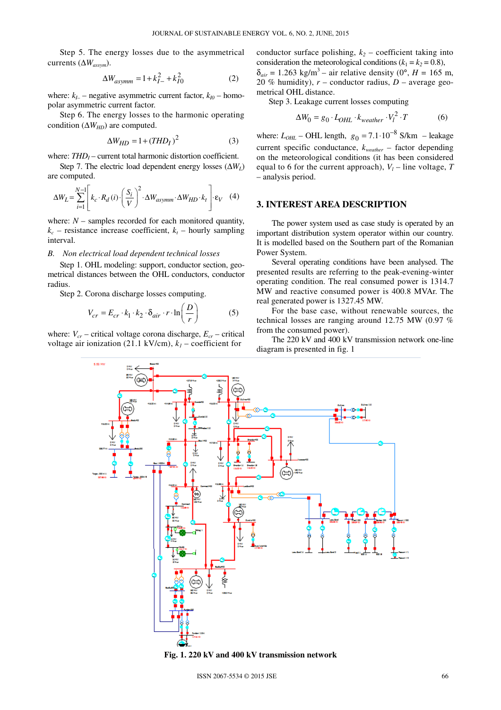Step 5. The energy losses due to the asymmetrical currents (∆*Wassym*).

$$
\Delta W_{asymm} = 1 + k_{I-}^2 + k_{I0}^2
$$
 (2)

where:  $k_{I-}$  – negative asymmetric current factor,  $k_{I0}$  – homopolar asymmetric current factor.

Step 6. The energy losses to the harmonic operating condition ( $\Delta W_{HD}$ ) are computed.

$$
\Delta W_{HD} = 1 + (THD_I)^2 \tag{3}
$$

where:  $THD<sub>I</sub>$  – current total harmonic distortion coefficient.

Step 7. The electric load dependent energy losses  $(\Delta W_L)$ are computed.

$$
\Delta W_L = \sum_{i=1}^{N-1} \left[ k_c \cdot R_d(i) \cdot \left( \frac{S_i}{V} \right)^2 \cdot \Delta W_{asymm} \cdot \Delta W_{HD} \cdot k_t \right] \cdot \varepsilon_V \quad (4)
$$

where:  $N -$  samples recorded for each monitored quantity,  $k_c$  – resistance increase coefficient,  $k_t$  – hourly sampling interval.

### *B. Non electrical load dependent technical losses*

Step 1. OHL modeling: support, conductor section, geometrical distances between the OHL conductors, conductor radius.

Step 2. Corona discharge losses computing.

$$
V_{cr} = E_{cr} \cdot k_1 \cdot k_2 \cdot \delta_{air} \cdot r \cdot \ln\left(\frac{D}{r}\right) \tag{5}
$$

where:  $V_{cr}$  – critical voltage corona discharge,  $E_{cr}$  – critical voltage air ionization (21.1 kV/cm),  $k<sub>1</sub>$  – coefficient for

conductor surface polishing,  $k_2$  – coefficient taking into consideration the meteorological conditions ( $k_1 = k_2 = 0.8$ ),  $\delta_{air} = 1.263$  kg/m<sup>3</sup> – air relative density (0°, *H* = 165 m, 20 % humidity),  $r$  – conductor radius,  $D$  – average geometrical OHL distance.

Step 3. Leakage current losses computing

$$
\Delta W_0 = g_0 \cdot L_{OHL} \cdot k_{weather} \cdot V_l^2 \cdot T \tag{6}
$$

where:  $L_{OHL}$  – OHL length,  $g_0 = 7.1 \cdot 10^{-8}$  S/km – leakage current specific conductance, *kweather –* factor depending on the meteorological conditions (it has been considered equal to 6 for the current approach), *V<sup>l</sup>* – line voltage, *T* – analysis period.

## **3. INTEREST AREA DESCRIPTION**

The power system used as case study is operated by an important distribution system operator within our country. It is modelled based on the Southern part of the Romanian Power System.

Several operating conditions have been analysed. The presented results are referring to the peak-evening-winter operating condition. The real consumed power is 1314.7 MW and reactive consumed power is 400.8 MVAr. The real generated power is 1327.45 MW.

For the base case, without renewable sources, the technical losses are ranging around 12.75 MW (0.97 % from the consumed power).

The 220 kV and 400 kV transmission network one-line diagram is presented in fig. 1



**Fig. 1. 220 kV and 400 kV transmission network**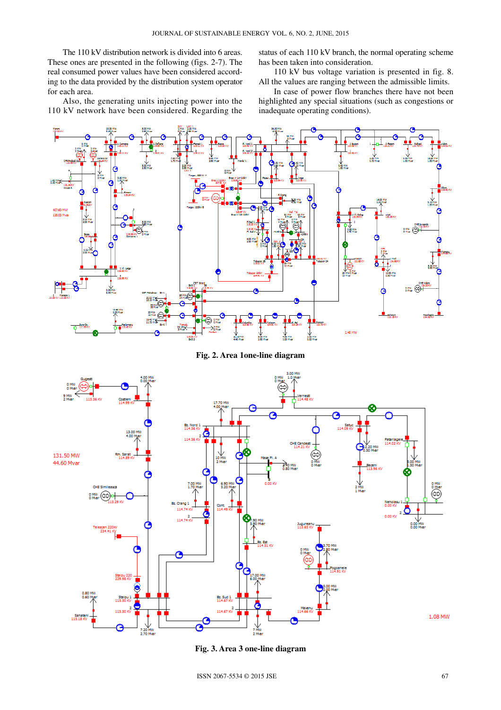The 110 kV distribution network is divided into 6 areas. These ones are presented in the following (figs. 2-7). The real consumed power values have been considered according to the data provided by the distribution system operator for each area.

status of each 110 kV branch, the normal operating scheme has been taken into consideration.

110 kV bus voltage variation is presented in fig. 8. All the values are ranging between the admissible limits.

Also, the generating units injecting power into the 110 kV network have been considered. Regarding the

In case of power flow branches there have not been highlighted any special situations (such as congestions or inadequate operating conditions).



**Fig. 2. Area 1one-line diagram** 



**Fig. 3. Area 3 one-line diagram**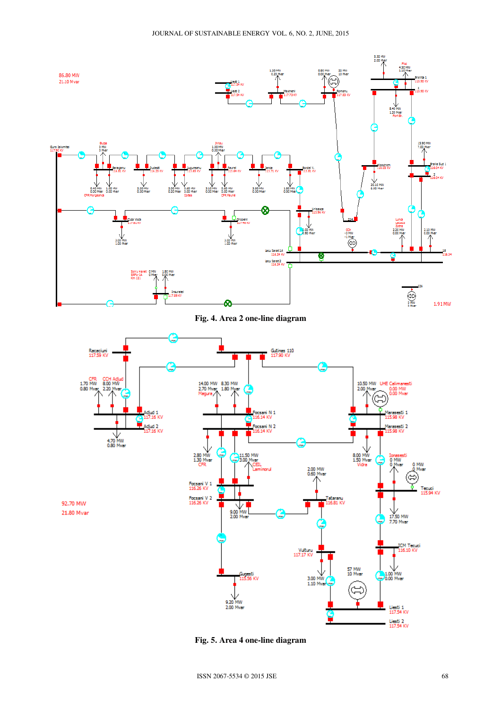

**Fig. 4. Area 2 one-line diagram** 



**Fig. 5. Area 4 one-line diagram**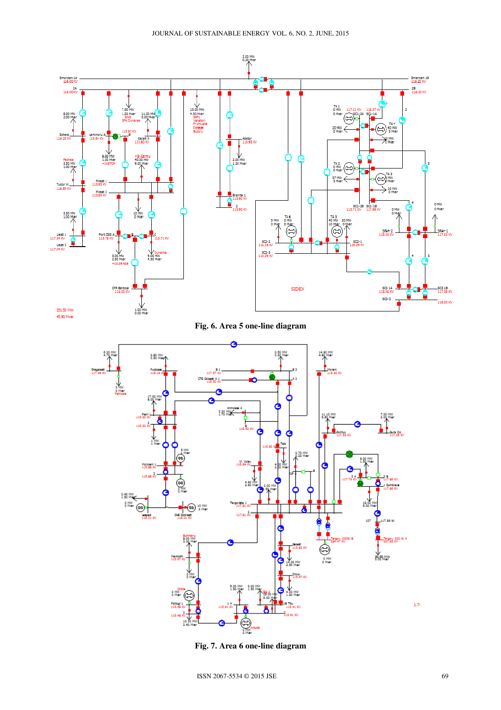

**Fig. 7. Area 6 one-line diagram**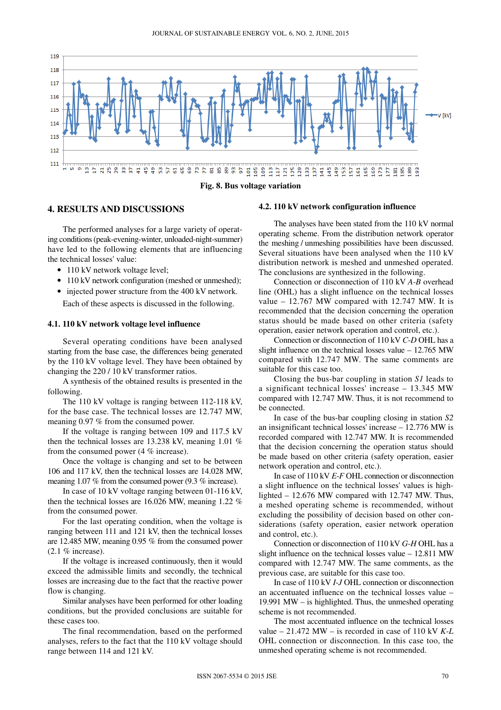

## **4. RESULTS AND DISCUSSIONS**

The performed analyses for a large variety of operating conditions(peak-evening-winter, unloaded-night-summer) have led to the following elements that are influencing the technical losses' value:

- 110 kV network voltage level:
- 110 kV network configuration (meshed or unmeshed);
- injected power structure from the 400 kV network.

Each of these aspects is discussed in the following.

#### **4.1. 110 kV network voltage level influence**

Several operating conditions have been analysed starting from the base case, the differences being generated by the 110 kV voltage level. They have been obtained by changing the 220 / 10 kV transformer ratios.

A synthesis of the obtained results is presented in the following.

The 110 kV voltage is ranging between 112-118 kV, for the base case. The technical losses are 12.747 MW, meaning 0.97 % from the consumed power.

If the voltage is ranging between 109 and 117.5 kV then the technical losses are 13.238 kV, meaning 1.01 % from the consumed power (4 % increase).

Once the voltage is changing and set to be between 106 and 117 kV, then the technical losses are 14.028 MW, meaning 1.07 % from the consumed power (9.3 % increase).

In case of 10 kV voltage ranging between 01-116 kV, then the technical losses are 16.026 MW, meaning 1.22 % from the consumed power.

For the last operating condition, when the voltage is ranging between 111 and 121 kV, then the technical losses are 12.485 MW, meaning 0.95 % from the consumed power  $(2.1\%$  increase).

If the voltage is increased continuously, then it would exceed the admissible limits and secondly, the technical losses are increasing due to the fact that the reactive power flow is changing.

Similar analyses have been performed for other loading conditions, but the provided conclusions are suitable for these cases too.

The final recommendation, based on the performed analyses, refers to the fact that the 110 kV voltage should range between 114 and 121 kV.

#### **4.2. 110 kV network configuration influence**

The analyses have been stated from the 110 kV normal operating scheme. From the distribution network operator the meshing / unmeshing possibilities have been discussed. Several situations have been analysed when the 110 kV distribution network is meshed and unmeshed operated. The conclusions are synthesized in the following.

Connection or disconnection of 110 kV *A*-*B* overhead line (OHL) has a slight influence on the technical losses value – 12.767 MW compared with 12.747 MW. It is recommended that the decision concerning the operation status should be made based on other criteria (safety operation, easier network operation and control, etc.).

Connection or disconnection of 110 kV *C*-*D* OHL has a slight influence on the technical losses value – 12.765 MW compared with 12.747 MW. The same comments are suitable for this case too.

Closing the bus-bar coupling in station *S1* leads to a significant technical losses' increase – 13.345 MW compared with 12.747 MW. Thus, it is not recommend to be connected.

In case of the bus-bar coupling closing in station *S2* an insignificant technical losses' increase – 12.776 MW is recorded compared with 12.747 MW. It is recommended that the decision concerning the operation status should be made based on other criteria (safety operation, easier network operation and control, etc.).

In case of 110 kV *E*-*F* OHL connection or disconnection a slight influence on the technical losses' values is highlighted – 12.676 MW compared with 12.747 MW. Thus, a meshed operating scheme is recommended, without excluding the possibility of decision based on other considerations (safety operation, easier network operation and control, etc.).

Connection or disconnection of 110 kV *G*-*H* OHL has a slight influence on the technical losses value – 12.811 MW compared with 12.747 MW. The same comments, as the previous case, are suitable for this case too.

In case of 110 kV *I*-*J* OHL connection or disconnection an accentuated influence on the technical losses value – 19.991 MW – is highlighted. Thus, the unmeshed operating scheme is not recommended.

The most accentuated influence on the technical losses value – 21.472 MW – is recorded in case of 110 kV *K*-*L* OHL connection or disconnection. In this case too, the unmeshed operating scheme is not recommended.